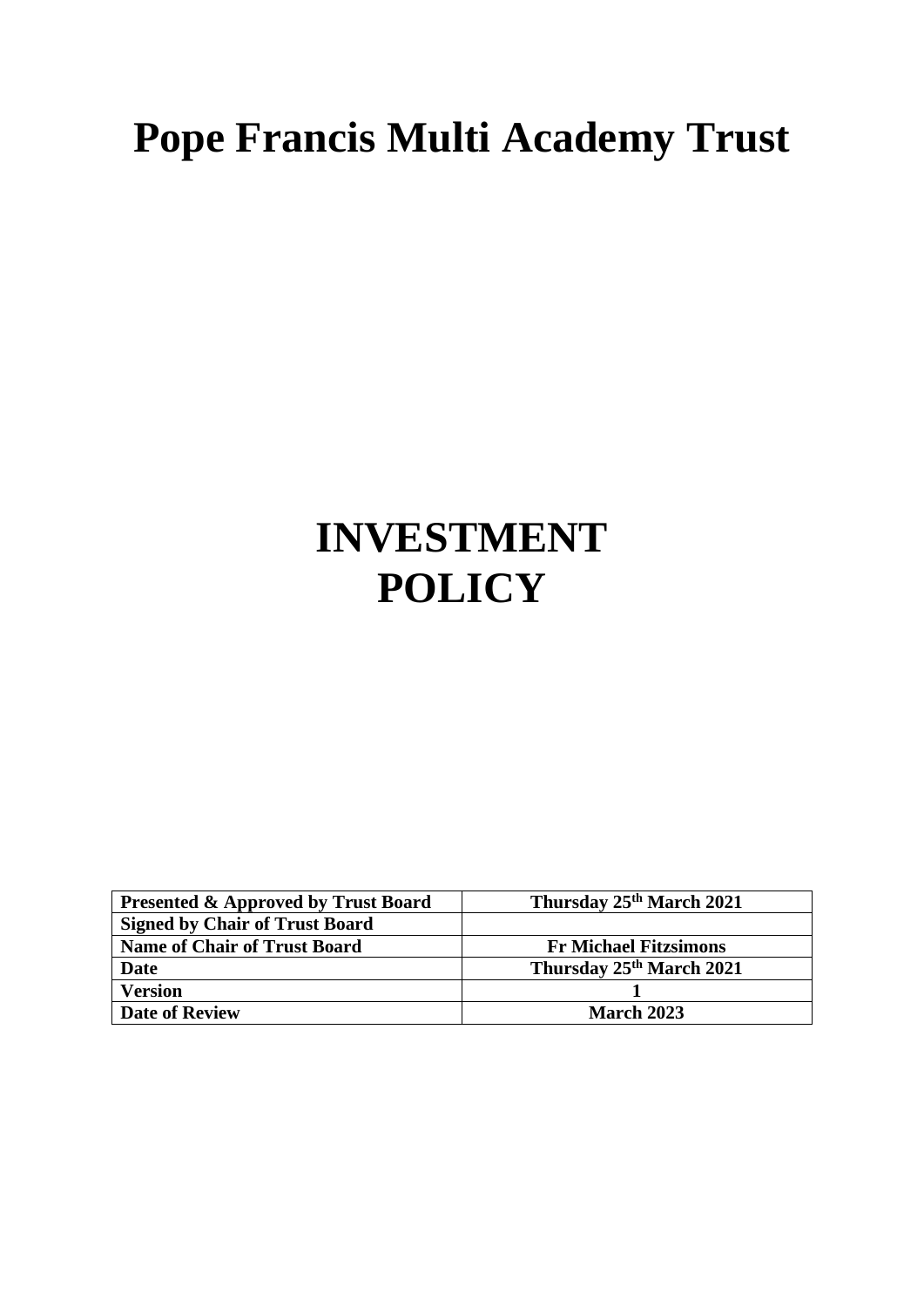# **Pope Francis Multi Academy Trust**

# **INVESTMENT POLICY**

| <b>Presented &amp; Approved by Trust Board</b> | Thursday 25 <sup>th</sup> March 2021 |
|------------------------------------------------|--------------------------------------|
| <b>Signed by Chair of Trust Board</b>          |                                      |
| <b>Name of Chair of Trust Board</b>            | <b>Fr Michael Fitzsimons</b>         |
| Date                                           | Thursday 25th March 2021             |
| <b>Version</b>                                 |                                      |
| <b>Date of Review</b>                          | <b>March 2023</b>                    |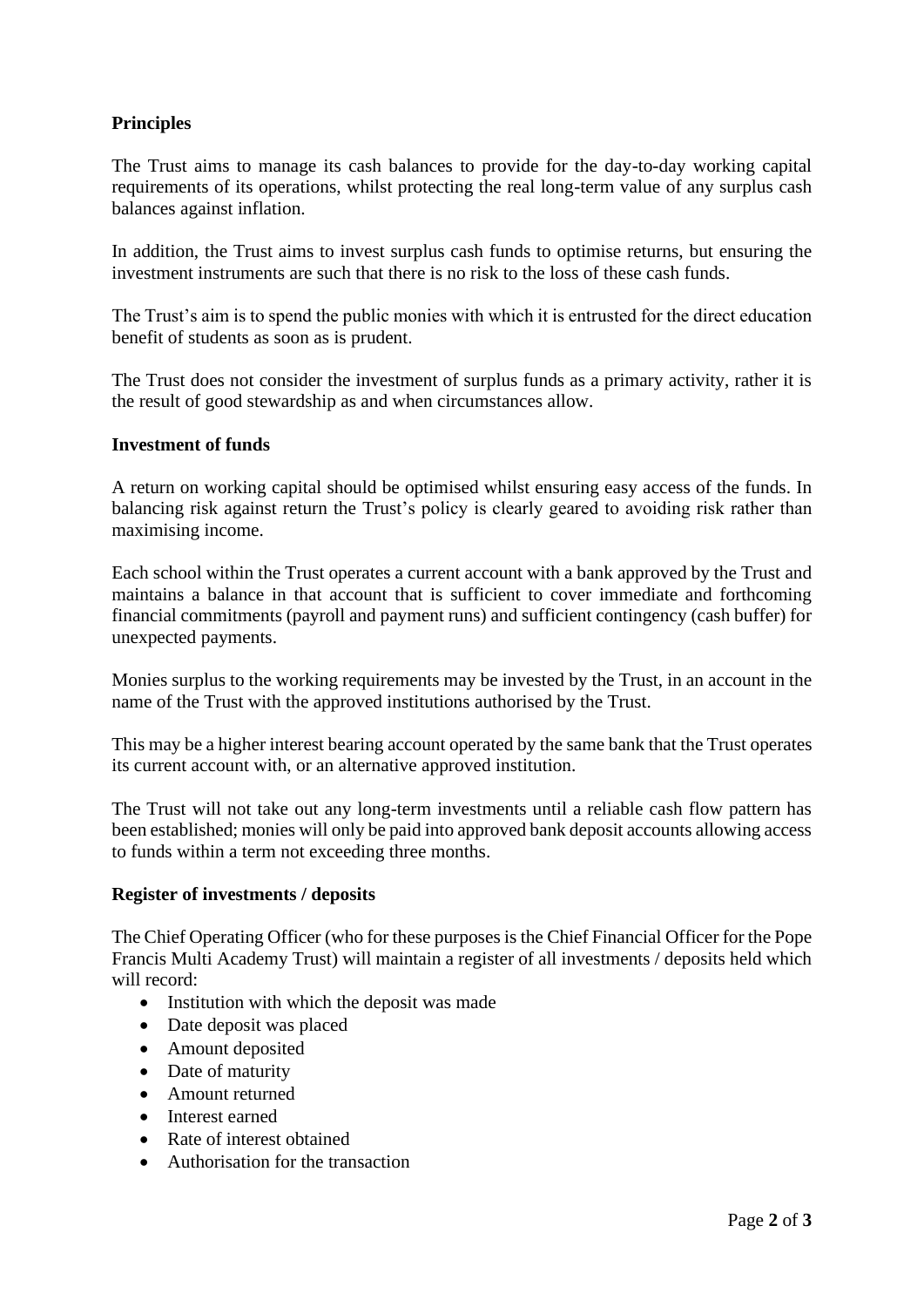## **Principles**

The Trust aims to manage its cash balances to provide for the day-to-day working capital requirements of its operations, whilst protecting the real long-term value of any surplus cash balances against inflation.

In addition, the Trust aims to invest surplus cash funds to optimise returns, but ensuring the investment instruments are such that there is no risk to the loss of these cash funds.

The Trust's aim is to spend the public monies with which it is entrusted for the direct education benefit of students as soon as is prudent.

The Trust does not consider the investment of surplus funds as a primary activity, rather it is the result of good stewardship as and when circumstances allow.

#### **Investment of funds**

A return on working capital should be optimised whilst ensuring easy access of the funds. In balancing risk against return the Trust's policy is clearly geared to avoiding risk rather than maximising income.

Each school within the Trust operates a current account with a bank approved by the Trust and maintains a balance in that account that is sufficient to cover immediate and forthcoming financial commitments (payroll and payment runs) and sufficient contingency (cash buffer) for unexpected payments.

Monies surplus to the working requirements may be invested by the Trust, in an account in the name of the Trust with the approved institutions authorised by the Trust.

This may be a higher interest bearing account operated by the same bank that the Trust operates its current account with, or an alternative approved institution.

The Trust will not take out any long-term investments until a reliable cash flow pattern has been established; monies will only be paid into approved bank deposit accounts allowing access to funds within a term not exceeding three months.

#### **Register of investments / deposits**

The Chief Operating Officer (who for these purposes is the Chief Financial Officer for the Pope Francis Multi Academy Trust) will maintain a register of all investments / deposits held which will record:

- Institution with which the deposit was made
- Date deposit was placed
- Amount deposited
- Date of maturity
- Amount returned
- Interest earned
- Rate of interest obtained
- Authorisation for the transaction